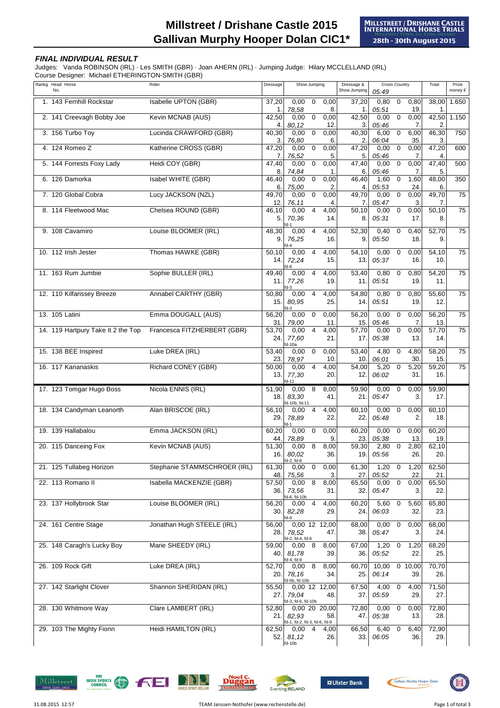## **Millstreet / Drishane Castle 2015 Gallivan Murphy Hooper Dolan CIC1\***

## **FINAL INDIVIDUAL RESULT**

Judges: Vanda ROBINSON (IRL) · Les SMITH (GBR) · Joan AHERN (IRL) · Jumping Judge: Hilary MCCLELLAND (IRL)

Course Designer: Michael ETHERINGTON-SMITH (GBR)

| Rankg Head Horse<br>No.            | Rider                        | Dressage     | Show Jumping                                                   | Dressage &<br>Show Jumping | <b>Cross Country</b><br>05:49                            | Total                | Prize<br>money € |
|------------------------------------|------------------------------|--------------|----------------------------------------------------------------|----------------------------|----------------------------------------------------------|----------------------|------------------|
| 1. 143 Fernhill Rockstar           | Isabelle UPTON (GBR)         | 37,20<br>1.  | 0,00<br>$\mathbf 0$<br>0,00<br>8.<br>78,58                     | 37,20<br>1.                | $\overline{0}$<br>0,80<br>0,80<br>05:51<br>19.           | 38,00<br>$\mathbf 1$ | 1.650            |
| 2. 141 Creevagh Bobby Joe          | Kevin MCNAB (AUS)            | 42,50<br>4.  | $\boldsymbol{0}$<br>0,00<br>0,00<br>80,12<br>12                | 42,50<br>3.                | $\overline{0}$<br>0,00<br>0,00<br>05:46<br>7.            | 42,50<br>2           | 1.150            |
| 3. 156 Turbo Toy                   | Lucinda CRAWFORD (GBR)       | 40,30<br>3.  | $\pmb{0}$<br>0,00<br>0,00<br>76,80<br>6.                       | 40,30<br>2.                | $\overline{0}$<br>6,00<br>6,00<br>06:04<br>35.           | 46,30<br>3.          | 750              |
| 4. 124 Romeo Z                     | Katherine CROSS (GBR)        | 47,20<br>7.  | $\pmb{0}$<br>0,00<br>0,00<br>76,52<br>5.                       | $\frac{1}{47,20}$<br>5.    | $\overline{0}$<br>0,00<br>0,00<br>05:46<br>7.            | 47,20<br>4           | 600              |
| 5. 144 Forrests Foxy Lady          | Heidi COY (GBR)              | 47,40<br>8.  | $\boldsymbol{0}$<br>0,00<br>0,00<br>74,84<br>$\mathbf 1$       | 47,40<br>6.                | $\mathbf 0$<br>0,00<br>0,00<br>05:46<br>7.               | 47,40<br>5.          | 500              |
| 6. 126 Damorka                     | Isabel WHITE (GBR)           | 46,40<br>6.  | 0,00<br>$\boldsymbol{0}$<br>0,00<br>75,00<br>$\overline{2}$    | 46,40<br>4.                | 1,60<br>$\overline{0}$<br>1,60<br>05:53<br>24.           | 48,00<br>6.          | 350              |
| 7. 120 Global Cobra                | Lucy JACKSON (NZL)           | 49,70<br>12. | $\pmb{0}$<br>0,00<br>0,00<br>76,11<br>4.                       | 49,70<br>7.                | 0,00<br>$\overline{0}$<br>0,00<br>05:47<br>3.            | 49,70<br>7.          | 75               |
| 8. 114 Fleetwood Mac               | Chelsea ROUND (GBR)          | 46,10<br>5.  | 0,00<br>$\overline{4}$<br>4,00<br>70,36<br>14.<br>d-1          | 50,10<br>8.                | $\mathbf 0$<br>0,00<br>0,00<br>05:31<br>17.              | 50,10<br>8.          | 75               |
| 9. 108 Cavamiro                    | Louise BLOOMER (IRL)         | 48,30<br>9.  | 0,00<br>$\overline{4}$<br>4,00<br>76,25<br>16.                 | 52,30<br>9.                | 0,40<br>0,40<br>$\mathbf 0$<br>05:50<br>18.              | 52,70<br>9.          | 75               |
| 10. 112 Irish Jester               | Thomas HAWKE (GBR)           | 50,10<br>14. | $d-4$<br>0,00<br>$\overline{4}$<br>4,00<br>72,24<br>15.<br>A-R | 54,10<br>13.               | 0,00<br>$\overline{\phantom{0}}$<br>0,00<br>05:37<br>16. | 54,10<br>10.         | $\overline{75}$  |
| 11. 163 Rum Jumbie                 | Sophie BULLER (IRL)          | 49,40<br>11. | 0,00<br>$\overline{4}$<br>4,00<br>77,26<br>19.<br>$1-3$        | $\frac{1}{53,40}$<br>11.   | 0,80<br>$\overline{0}$<br>0,80<br>05:51<br>19.           | 54,20<br>11.         | 75               |
| 12. 110 Kilfarissey Breeze         | Annabel CARTHY (GBR)         | 50,80<br>15. | 0,00<br>$\overline{4}$<br>4,00<br>80,95<br>25.<br>d-3          | 54,80<br>14.               | 0,80<br>$\overline{0}$<br>0,80<br>05:51<br>19.           | 55,60<br>12.         | 75               |
| 13. 105 Latini                     | Emma DOUGALL (AUS)           | 56,20<br>31. | 0,00<br>$\mathbf 0$<br>0,00<br>79,00<br>11.                    | 56,20<br>15.               | 0,00<br>0,00<br>$\mathbf 0$<br>05:46<br>7.               | 56,20<br>13.         | $\overline{75}$  |
| 14. 119 Hartpury Take It 2 the Top | Francesca FITZHERBERT (GBR)  | 53,70<br>24. | $\overline{4}$<br>0,00<br>4,00<br>77,60<br>21.<br>d-10a        | 57,70<br>17.               | 0,00<br>$\overline{0}$<br>0,00<br>05:38<br>13.           | 57,70<br>14.         | 75               |
| 15. 138 BEE Inspired               | Luke DREA (IRL)              | 53,40<br>23. | $\mathbf 0$<br>0,00<br>0,00<br>78,97<br>10 <sub>1</sub>        | 53,40<br>10.               | 4,80<br>$\overline{0}$<br>4,80<br>06:01<br>30.           | 58,20<br>15.         | $\overline{75}$  |
| 16. 117 Kananaskis                 | Richard CONEY (GBR)          | 50,00<br>13. | 4<br>4,00<br>0,00<br>77,30<br>20<br>d-11                       | 54,00<br>12.               | $\mathbf 0$<br>5,20<br>5,20<br>06:02<br>31.              | 59,20<br>16.         | $\overline{75}$  |
| 17. 123 Tomgar Hugo Boss           | Nicola ENNIS (IRL)           | 51,90<br>18. | 0,00<br>8<br>8,00<br>41.<br>83,30<br>d-10b, fd-11              | 59,90<br>21.               | 0,00<br>$\overline{0}$<br>0,00<br>3.<br>05:47            | 59,90<br>17.         |                  |
| 18. 134 Candyman Leanorth          | Alan BRISCOE (IRL)           | 56,10<br>29. | 4,00<br>$\overline{4}$<br>0,00<br>78,89<br>22.<br>$1 - 1$      | 60,10<br>22.               | 0,00<br>$\mathbf 0$<br>0,00<br>05:48<br>2.               | 60,10<br>18.         |                  |
| 19. 139 Hallabalou                 | Emma JACKSON (IRL)           | 60,20<br>44. | 0,00<br>$\mathbf 0$<br>0,00<br>78,89<br>9.                     | 60,20<br>23.               | 0,00<br>$\mathbf 0$<br>0,00<br>05:38<br>13.              | 60,20<br>19.         |                  |
| 20. 115 Danceing Fox               | Kevin MCNAB (AUS)            | 51,30<br>16. | 8<br>0,00<br>8,00<br>80,02<br>36.<br>d-2, fd-8                 | 59,30<br>19.               | $\mathbf 0$<br>2,80<br>2,80<br>05:56<br>26.              | 62,10<br>20.         |                  |
| 21. 125 Tullabeg Horizon           | Stephanie STAMMSCHROER (IRL) | 61,30<br>48. | $\pmb{0}$<br>0,00<br>0,00<br>75,56<br>3.                       | 61,30<br>27.               | 1,20<br>$\overline{0}$<br>1,20<br>22.<br>05:52           | 62,50<br>21.         |                  |
| 22. 113 Romario II                 | Isabella MACKENZIE (GBR)     | 57,50<br>36. | 8<br>8,00<br>0,00<br>73,56<br>31.                              | 65,50<br>32.               | $\mathbf 0$<br>0,00<br>0,00<br>05:47<br>3.               | 65,50<br>22.         |                  |
| 23. 137 Hollybrook Star            | Louise BLOOMER (IRL)         | 56,20<br>30. | d-6, fd-10b<br>4<br>4,00<br>0,00<br>82,28<br>29.<br>d-4        | 60,20<br>24.               | 5,60<br>5,60<br>$\overline{0}$<br>06:03<br>32.           | 65,80<br>23.         |                  |
| 24. 161 Centre Stage               | Jonathan Hugh STEELE (IRL)   | 56,00<br>28. | 0,00 12 12,00<br>47.<br>78,52<br>d-2, fd-4, fd-6               | 68,00<br>38.               | 0,00<br>$\overline{0}$<br>0,00<br>05:47<br>3.            | 68,00<br>24.         |                  |
| 25. 148 Caragh's Lucky Boy         | Marie SHEEDY (IRL)           | 59,00<br>40. | $0,00$ 8<br>8,00<br>39.<br>81,78<br>$-4, fd-9$                 | 67,00<br>36.               | $1,20$ 0<br>1,20<br>22.<br>05:52                         | 68,20<br>25.         |                  |
| 26. 109 Rock Gift                  | Luke DREA (IRL)              | 52,70<br>20. | 8<br>8,00<br>0,00<br>78,16<br>34.<br>d-5b, fd-10b              | 60,70<br>25.               | 10,00<br>$\overline{0}$ 10,00<br>06:14<br>39.            | 70,70<br>26.         |                  |
| 27. 142 Starlight Clover           | Shannon SHERIDAN (IRL)       | 55,50<br>27. | 0,00 12 12,00<br>79,04<br>48.<br>d-3, fd-6, fd-10b             | 67,50<br>37.               | 4,00<br>$\overline{\mathbf{0}}$<br>4,00<br>05:59<br>29.  | 71,50<br>27.         |                  |
| 28. 130 Whitmore Way               | Clare LAMBERT (IRL)          | 52,80<br>21. | 0,00 20 20,00<br>82,93<br>58.<br>d-1, fd-2, fd-3, fd-6, fd-9   | 72,80<br>47.               | 0,00<br>$\overline{0}$<br>0,00<br>05:38<br>13.           | 72,80<br>28.         |                  |
| 29. 103 The Mighty Fionn           | Heidi HAMILTON (IRL)         | 62,50<br>52. | 4<br>0,00<br>4,00<br>81,12<br>26.<br>fd-10b                    | 66,50<br>33.               | 6,40<br>$\mathbf 0$<br>6,40<br>06:05<br>36.              | 72,90<br>29.         |                  |









**XX Ulster Bank** 



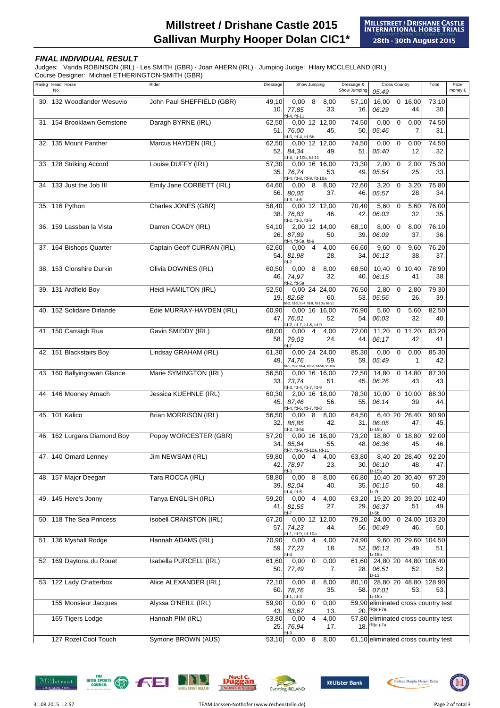## **FINAL INDIVIDUAL RESULT**

Judges: Vanda ROBINSON (IRL) · Les SMITH (GBR) · Joan AHERN (IRL) · Jumping Judge: Hilary MCCLELLAND (IRL) Course Designer: Michael ETHERINGTON-SMITH (GBR)

Rankg Head Horse Rider Dressage Dressage & Total Prize No. Show Jumping  $0.49$  money  $\epsilon$ Show Jumping Dressage & Cross Country 30. 132 Woodlander Wesuvio John Paul SHEFFIELD (GBR) 49,10 0,00 8 8,00 57,10 16,00 0 16,00 73,10 10. 77,85 33. 16. 06:29 44. 30. 31. 154 Brooklawn Gemstone Daragh BYRNE (IRL) 62,50 0,00 12 12,00 74,50 0,00 0 0,00 74,50 51. 76,00 45. 50. 05:46 7. 31. 32. 135 Mount Panther Marcus HAYDEN (IRL) 62,50 0,00 12 12,00 74,50 0,00 0 0,00 74,50 52. 8*4,34* 49. 51. 05:40 12. 32. 33. 128 Striking Accord Louise DUFFY (IRL) 57,30 0,00 16 16,00 73,30 2,00 0 2,00 75,30 35. 76,74 53. 49. 05:54 25. 33 34. 133 Just the Job III Emily Jane CORBETT (IRL) 64,60 0,00 8 8,00 72,60 3,20 0 3,20 75,80 56. 80,05 37. 46. 05:57 28. 34. 35. 116 Python Charles JONES (GBR) 58,40 0,00 12 12,00 70,40 5,60 0 5,60 76,00 38. 76,83 46. 42. 06:03 32. 35. 36. 159 Lassban la Vista Darren COADY (IRL) 54,10 2,00 12 14,00 68,10 8,00 0 8,00 76,10 26. 87,89 50. 39. 06:09 37. 36. 37. 164 Bishops Quarter Captain Geoff CURRAN (IRL) 62,60 0,00 4 4,00 66,60 9,60 0 9,60 76,20 54. 81,98 28. 34. 06:13 38. 37. 38. 153 Clonshire Durkin Olivia DOWNES (IRL) 60,50 0,00 8 8,00 68,50 10,40 0 10,40 78,90 46. 74,97 32. 40. 06:15 41. 38. 39. 131 Ardfield Boy Heidi HAMILTON (IRL) 52,50 0,00 24 24,00 76,50 2,80 0 2,80 79,30 19. 82,68 60. 53. 05:56 26. 39. 40. 152 Solidaire Dirlande Edie MURRAY-HAYDEN (IRL) 60,90 0,00 16 16,00 76,90 5,60 0 5,60 82,50 47. 76,01 52. 54. 06:03 32. 40. 41. 150 Carraigh Rua Gavin SMIDDY (IRL) 68,00 0,00 4 4,00 72,00 11,20 0 11,20 83,20 58. 79,03 24. 44. 06:17 42. 41. fd-4, fd-11 fd-3, fd-6 fd-2, fd-3, fd-9 fd-4, fd-5a, fd-9 fd-3, fd-4, fd-5b fd-4, fd-10b, fd-11  $f$ d-8,  $f$ d-9 fd-2, fd-7, fd-8, fd-9 fd-2 fd-2, fd-5a fd-2, fd-3, fd-4, fd-9, fd-10b, fd-11 42. 151 Blackstairs Boy Lindsay GRAHAM (IRL) 61,30 0,00 24 24,00 85,30 0,00 0 0,00 85,30 49. 74,76 59. 59. 05:49 1. 42 43. 160 Ballyingowan Glance Marie SYMINGTON (IRL) 56,50 0,00 16 16,00 72,50 14,80 0 14,80 87,30 33. 73,74 51. 45. 06:26 43. 43. 44. 146 Mooney Amach Jessica KUEHNLE (IRL) 60,30 2,00 16 18,00 78,30 10,00 0 10,00 88,30 45. 87,46 56. 55. 06:14 39. 44. 45. 101 Kalico Brian MORRISON (IRL) 56,50 0,00 8 8,00 64,50 6,40 20 26,40 90,90 32. 85,85 42. 31. 06:05 47. 45. 46. 162 Lurgans Diamond Boy Poppy WORCESTER (GBR) 57,20 0,00 16 16,00 73,20 18,80 0 18,80 92,00 34. 85,84 55. 48. 06:36 45. 46. 47. 140 Omard Lenney Jim NEWSAM (IRL) 59,80 0,00 4 4,00 63,80 8,40 20 28,40 92,20 42. 78,97 23. 30. 06:10 48. 47 48. 157 Major Deegan Tara ROCCA (IRL) 58,80 0,00 8 8,00 66,80 10,40 20 30,40 97,20 39. 82,04 40. 35. 06:15 50. 48. 49. 145 Here's Jonny Tanya ENGLISH (IRL) 59,20 0,00 4 4,00 63,20 19,20 20 39,20 102,40 41. 81,55 27. 29. 06:37 51. 49 50. 118 The Sea Princess Isobell CRANSTON (IRL) 67,20 0,00 12 12,00 79,20 24,00 0 24,00 103,20 57. 74,23 44. 56. 06:49 46. 50. 51. 136 Myshall Rodge Hannah ADAMS (IRL) 70,90 0,00 4 4,00 74,90 9,60 20 29,60 104,50 59. 77,23 18. 52. 06:13 49. 51. 52. 169 Daytona du Rouet Isabella PURCELL (IRL) 61,60 0,00 0 0,00 61,60 24,80 20 44,80 106,40 50. 77,49 7. 28. 06:51 52. 52. 53. 122 Lady Chatterbox Alice ALEXANDER (IRL) | 72,10 0,00 8 8,00 80,10 28,80 20 48,80 128,90 60. 78,76 35. 58. 07:01 53. 53 155 Monsieur Jacques Alyssa O'NEILL (IRL) 59,90 0,00 0 0,00 59,90 43. 83,67 13. 20. 165 Tigers Lodge Hannah PIM (IRL) 53,80 0,00 4 4,00 57,80 25. 76.94 17. 18. 127 Rozel Cool Touch Symone BROWN (AUS) 53,10 0,00 8 8,00 fd-7 fd-1, fd-2, fd-4, fd-5a, fd-5b, fd-10a fd-7, fd-9, fd-10a, fd-11 fd-3 1r-15b fd-4, fd-6 1r-7b fd-3, fd-4, fd-7, fd-9 fd-4, fd-6, fd-7, fd-8 fd-3, fd-5b 1r-15b 1r-13 fd-1, fd-3 1r-15b eliminated cross country test fR(el)-7a fd-7 1r-5b fd-1, fd-9, fd-10a fd-4 1r-15b eliminated cross country test fd-9 R(el)-7a 61,10 eliminated cross country test